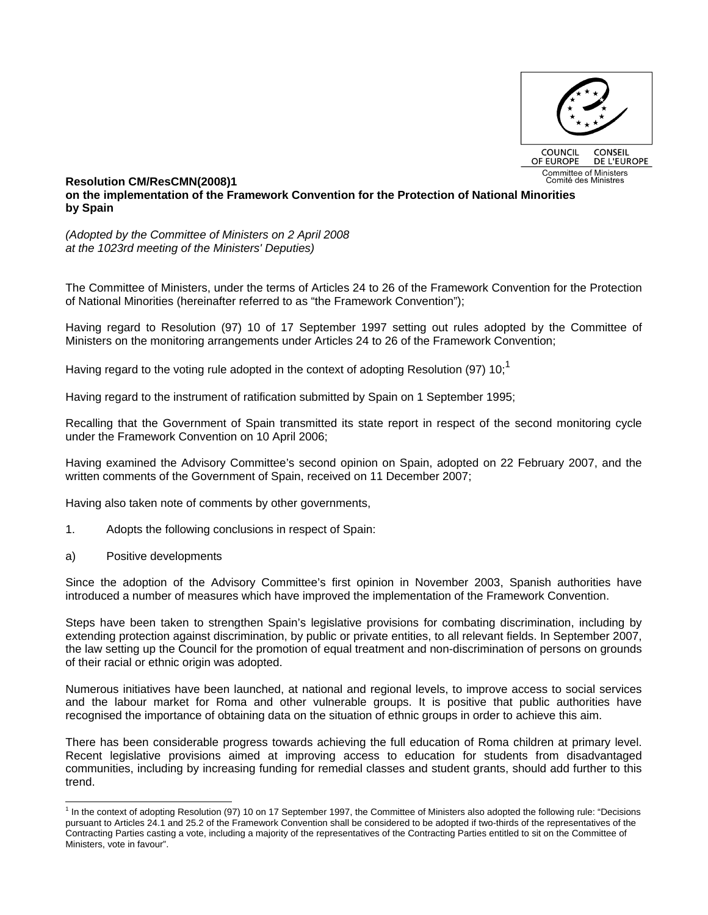

## **Resolution CM/ResCMN(2008)1 on the implementation of the Framework Convention for the Protection of National Minorities by Spain**

*(Adopted by the Committee of Ministers on 2 April 2008 at the 1023rd meeting of the Ministers' Deputies)* 

The Committee of Ministers, under the terms of Articles 24 to 26 of the Framework Convention for the Protection of National Minorities (hereinafter referred to as "the Framework Convention");

Having regard to Resolution (97) 10 of 17 September 1997 setting out rules adopted by the Committee of Ministers on the monitoring arrangements under Articles 24 to 26 of the Framework Convention;

Having regard to the voting rule adopted in the context of adopting Resolution (97) 10;<sup>1</sup>

Having regard to the instrument of ratification submitted by Spain on 1 September 1995;

Recalling that the Government of Spain transmitted its state report in respect of the second monitoring cycle under the Framework Convention on 10 April 2006;

Having examined the Advisory Committee's second opinion on Spain, adopted on 22 February 2007, and the written comments of the Government of Spain, received on 11 December 2007;

Having also taken note of comments by other governments,

- 1. Adopts the following conclusions in respect of Spain:
- a) Positive developments

l

Since the adoption of the Advisory Committee's first opinion in November 2003, Spanish authorities have introduced a number of measures which have improved the implementation of the Framework Convention.

Steps have been taken to strengthen Spain's legislative provisions for combating discrimination, including by extending protection against discrimination, by public or private entities, to all relevant fields. In September 2007, the law setting up the Council for the promotion of equal treatment and non-discrimination of persons on grounds of their racial or ethnic origin was adopted.

Numerous initiatives have been launched, at national and regional levels, to improve access to social services and the labour market for Roma and other vulnerable groups. It is positive that public authorities have recognised the importance of obtaining data on the situation of ethnic groups in order to achieve this aim.

There has been considerable progress towards achieving the full education of Roma children at primary level. Recent legislative provisions aimed at improving access to education for students from disadvantaged communities, including by increasing funding for remedial classes and student grants, should add further to this trend.

<sup>&</sup>lt;sup>1</sup> In the context of adopting Resolution (97) 10 on 17 September 1997, the Committee of Ministers also adopted the following rule: "Decisions pursuant to Articles 24.1 and 25.2 of the Framework Convention shall be considered to be adopted if two-thirds of the representatives of the Contracting Parties casting a vote, including a majority of the representatives of the Contracting Parties entitled to sit on the Committee of Ministers, vote in favour".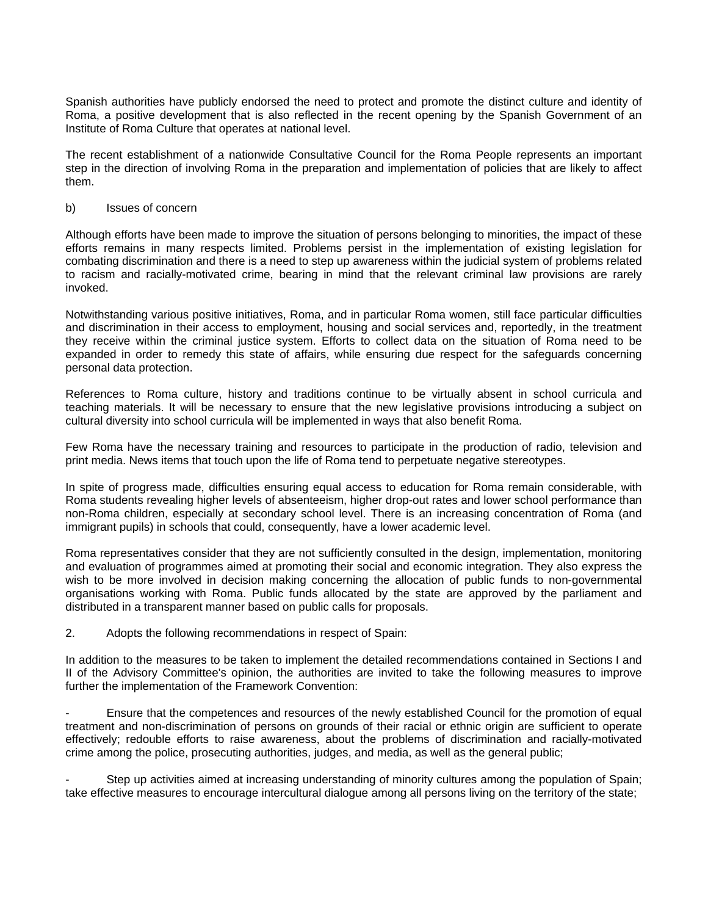Spanish authorities have publicly endorsed the need to protect and promote the distinct culture and identity of Roma, a positive development that is also reflected in the recent opening by the Spanish Government of an Institute of Roma Culture that operates at national level.

The recent establishment of a nationwide Consultative Council for the Roma People represents an important step in the direction of involving Roma in the preparation and implementation of policies that are likely to affect them.

## b) Issues of concern

Although efforts have been made to improve the situation of persons belonging to minorities, the impact of these efforts remains in many respects limited. Problems persist in the implementation of existing legislation for combating discrimination and there is a need to step up awareness within the judicial system of problems related to racism and racially-motivated crime, bearing in mind that the relevant criminal law provisions are rarely invoked.

Notwithstanding various positive initiatives, Roma, and in particular Roma women, still face particular difficulties and discrimination in their access to employment, housing and social services and, reportedly, in the treatment they receive within the criminal justice system. Efforts to collect data on the situation of Roma need to be expanded in order to remedy this state of affairs, while ensuring due respect for the safeguards concerning personal data protection.

References to Roma culture, history and traditions continue to be virtually absent in school curricula and teaching materials. It will be necessary to ensure that the new legislative provisions introducing a subject on cultural diversity into school curricula will be implemented in ways that also benefit Roma.

Few Roma have the necessary training and resources to participate in the production of radio, television and print media. News items that touch upon the life of Roma tend to perpetuate negative stereotypes.

In spite of progress made, difficulties ensuring equal access to education for Roma remain considerable, with Roma students revealing higher levels of absenteeism, higher drop-out rates and lower school performance than non-Roma children, especially at secondary school level. There is an increasing concentration of Roma (and immigrant pupils) in schools that could, consequently, have a lower academic level.

Roma representatives consider that they are not sufficiently consulted in the design, implementation, monitoring and evaluation of programmes aimed at promoting their social and economic integration. They also express the wish to be more involved in decision making concerning the allocation of public funds to non-governmental organisations working with Roma. Public funds allocated by the state are approved by the parliament and distributed in a transparent manner based on public calls for proposals.

2. Adopts the following recommendations in respect of Spain:

In addition to the measures to be taken to implement the detailed recommendations contained in Sections I and II of the Advisory Committee's opinion, the authorities are invited to take the following measures to improve further the implementation of the Framework Convention:

- Ensure that the competences and resources of the newly established Council for the promotion of equal treatment and non-discrimination of persons on grounds of their racial or ethnic origin are sufficient to operate effectively; redouble efforts to raise awareness, about the problems of discrimination and racially-motivated crime among the police, prosecuting authorities, judges, and media, as well as the general public;

Step up activities aimed at increasing understanding of minority cultures among the population of Spain; take effective measures to encourage intercultural dialogue among all persons living on the territory of the state;